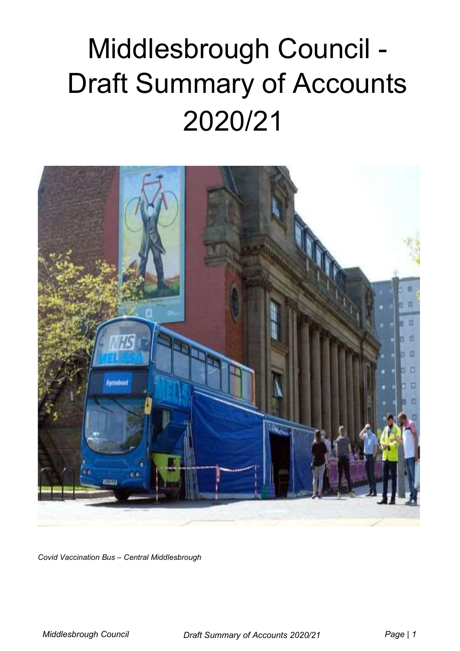# Middlesbrough Council - Draft Summary of Accounts 2020/21



Covid Vaccination Bus – Central Middlesbrough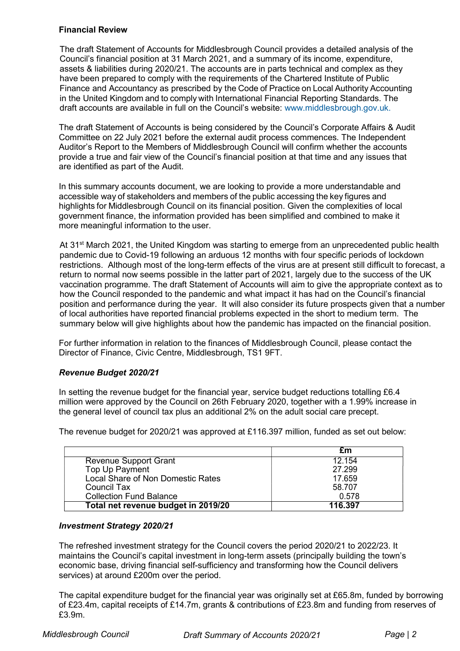## Financial Review

The draft Statement of Accounts for Middlesbrough Council provides a detailed analysis of the Council's financial position at 31 March 2021, and a summary of its income, expenditure, assets & liabilities during 2020/21. The accounts are in parts technical and complex as they have been prepared to comply with the requirements of the Chartered Institute of Public Finance and Accountancy as prescribed by the Code of Practice on Local Authority Accounting in the United Kingdom and to comply with International Financial Reporting Standards. The draft accounts are available in full on the Council's website: www.middlesbrough.gov.uk.

The draft Statement of Accounts is being considered by the Council's Corporate Affairs & Audit Committee on 22 July 2021 before the external audit process commences. The Independent Auditor's Report to the Members of Middlesbrough Council will confirm whether the accounts provide a true and fair view of the Council's financial position at that time and any issues that are identified as part of the Audit.

In this summary accounts document, we are looking to provide a more understandable and accessible way of stakeholders and members of the public accessing the key figures and highlights for Middlesbrough Council on its financial position. Given the complexities of local government finance, the information provided has been simplified and combined to make it more meaningful information to the user.

At 31<sup>st</sup> March 2021, the United Kingdom was starting to emerge from an unprecedented public health pandemic due to Covid-19 following an arduous 12 months with four specific periods of lockdown restrictions. Although most of the long-term effects of the virus are at present still difficult to forecast, a return to normal now seems possible in the latter part of 2021, largely due to the success of the UK vaccination programme. The draft Statement of Accounts will aim to give the appropriate context as to how the Council responded to the pandemic and what impact it has had on the Council's financial position and performance during the year. It will also consider its future prospects given that a number of local authorities have reported financial problems expected in the short to medium term. The summary below will give highlights about how the pandemic has impacted on the financial position.

For further information in relation to the finances of Middlesbrough Council, please contact the Director of Finance, Civic Centre, Middlesbrough, TS1 9FT.

# Revenue Budget 2020/21

In setting the revenue budget for the financial year, service budget reductions totalling £6.4 million were approved by the Council on 26th February 2020, together with a 1.99% increase in the general level of council tax plus an additional 2% on the adult social care precept.

The revenue budget for 2020/21 was approved at £116.397 million, funded as set out below:

|                                     | £m      |
|-------------------------------------|---------|
| Revenue Support Grant               | 12.154  |
| Top Up Payment                      | 27.299  |
| Local Share of Non Domestic Rates   | 17.659  |
| Council Tax                         | 58.707  |
| <b>Collection Fund Balance</b>      | 0.578   |
| Total net revenue budget in 2019/20 | 116.397 |

## Investment Strategy 2020/21

The refreshed investment strategy for the Council covers the period 2020/21 to 2022/23. It maintains the Council's capital investment in long-term assets (principally building the town's economic base, driving financial self-sufficiency and transforming how the Council delivers services) at around £200m over the period.

The capital expenditure budget for the financial year was originally set at £65.8m, funded by borrowing of £23.4m, capital receipts of £14.7m, grants & contributions of £23.8m and funding from reserves of £3.9m.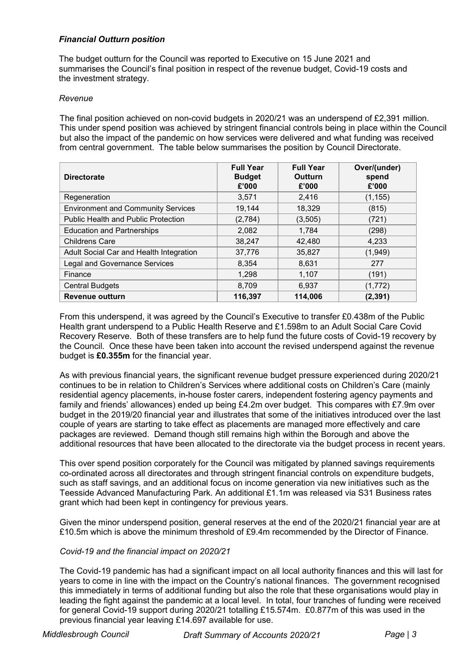# Financial Outturn position

The budget outturn for the Council was reported to Executive on 15 June 2021 and summarises the Council's final position in respect of the revenue budget, Covid-19 costs and the investment strategy.

#### Revenue

The final position achieved on non-covid budgets in 2020/21 was an underspend of £2,391 million. This under spend position was achieved by stringent financial controls being in place within the Council but also the impact of the pandemic on how services were delivered and what funding was received from central government. The table below summarises the position by Council Directorate.

| <b>Directorate</b>                         | <b>Full Year</b><br><b>Budget</b><br>£'000 | <b>Full Year</b><br>Outturn<br>£'000 | Over/(under)<br>spend<br>£'000 |
|--------------------------------------------|--------------------------------------------|--------------------------------------|--------------------------------|
| Regeneration                               | 3.571                                      | 2,416                                | (1, 155)                       |
| <b>Environment and Community Services</b>  | 19,144                                     | 18,329                               | (815)                          |
| <b>Public Health and Public Protection</b> | (2,784)                                    | (3, 505)                             | (721)                          |
| <b>Education and Partnerships</b>          | 2,082                                      | 1,784                                | (298)                          |
| <b>Childrens Care</b>                      | 38,247                                     | 42,480                               | 4,233                          |
| Adult Social Car and Health Integration    | 37,776                                     | 35,827                               | (1,949)                        |
| <b>Legal and Governance Services</b>       | 8,354                                      | 8,631                                | 277                            |
| Finance                                    | 1,298                                      | 1,107                                | (191)                          |
| <b>Central Budgets</b>                     | 8,709                                      | 6,937                                | (1, 772)                       |
| <b>Revenue outturn</b>                     | 116,397                                    | 114,006                              | (2, 391)                       |

From this underspend, it was agreed by the Council's Executive to transfer £0.438m of the Public Health grant underspend to a Public Health Reserve and £1.598m to an Adult Social Care Covid Recovery Reserve. Both of these transfers are to help fund the future costs of Covid-19 recovery by the Council. Once these have been taken into account the revised underspend against the revenue budget is £0.355m for the financial year.

As with previous financial years, the significant revenue budget pressure experienced during 2020/21 continues to be in relation to Children's Services where additional costs on Children's Care (mainly residential agency placements, in-house foster carers, independent fostering agency payments and family and friends' allowances) ended up being £4.2m over budget. This compares with £7.9m over budget in the 2019/20 financial year and illustrates that some of the initiatives introduced over the last couple of years are starting to take effect as placements are managed more effectively and care packages are reviewed. Demand though still remains high within the Borough and above the additional resources that have been allocated to the directorate via the budget process in recent years.

This over spend position corporately for the Council was mitigated by planned savings requirements co-ordinated across all directorates and through stringent financial controls on expenditure budgets, such as staff savings, and an additional focus on income generation via new initiatives such as the Teesside Advanced Manufacturing Park. An additional £1.1m was released via S31 Business rates grant which had been kept in contingency for previous years.

Given the minor underspend position, general reserves at the end of the 2020/21 financial year are at £10.5m which is above the minimum threshold of £9.4m recommended by the Director of Finance.

## Covid-19 and the financial impact on 2020/21

The Covid-19 pandemic has had a significant impact on all local authority finances and this will last for years to come in line with the impact on the Country's national finances. The government recognised this immediately in terms of additional funding but also the role that these organisations would play in leading the fight against the pandemic at a local level. In total, four tranches of funding were received for general Covid-19 support during 2020/21 totalling £15.574m. £0.877m of this was used in the previous financial year leaving £14.697 available for use.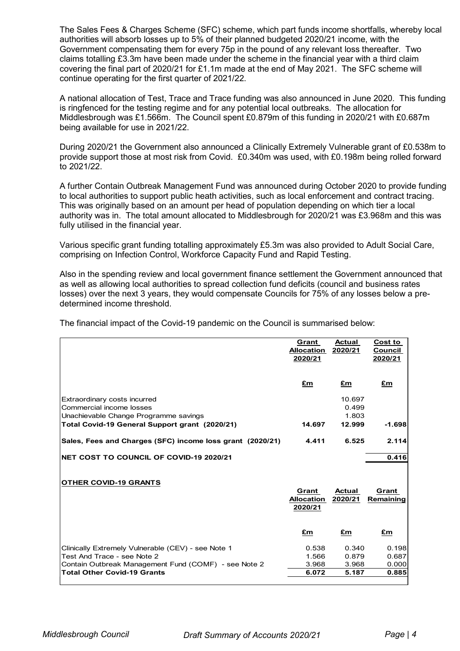The Sales Fees & Charges Scheme (SFC) scheme, which part funds income shortfalls, whereby local authorities will absorb losses up to 5% of their planned budgeted 2020/21 income, with the Government compensating them for every 75p in the pound of any relevant loss thereafter. Two claims totalling £3.3m have been made under the scheme in the financial year with a third claim covering the final part of 2020/21 for £1.1m made at the end of May 2021. The SFC scheme will continue operating for the first quarter of 2021/22.

A national allocation of Test, Trace and Trace funding was also announced in June 2020. This funding is ringfenced for the testing regime and for any potential local outbreaks. The allocation for Middlesbrough was £1.566m. The Council spent £0.879m of this funding in 2020/21 with £0.687m being available for use in 2021/22.

During 2020/21 the Government also announced a Clinically Extremely Vulnerable grant of £0.538m to provide support those at most risk from Covid. £0.340m was used, with £0.198m being rolled forward to 2021/22.

A further Contain Outbreak Management Fund was announced during October 2020 to provide funding to local authorities to support public heath activities, such as local enforcement and contract tracing. This was originally based on an amount per head of population depending on which tier a local authority was in. The total amount allocated to Middlesbrough for 2020/21 was £3.968m and this was fully utilised in the financial year.

| This was originally based on an amount per nead or population depending on which tier a local<br>authority was in. The total amount allocated to Middlesbrough for 2020/21 was £3.968m and this was<br>fully utilised in the financial year.                                                                                                  |                                              |                          |                                      |
|-----------------------------------------------------------------------------------------------------------------------------------------------------------------------------------------------------------------------------------------------------------------------------------------------------------------------------------------------|----------------------------------------------|--------------------------|--------------------------------------|
| Various specific grant funding totalling approximately £5.3m was also provided to Adult Social Care,<br>comprising on Infection Control, Workforce Capacity Fund and Rapid Testing.                                                                                                                                                           |                                              |                          |                                      |
| Also in the spending review and local government finance settlement the Government announced that<br>as well as allowing local authorities to spread collection fund deficits (council and business rates<br>losses) over the next 3 years, they would compensate Councils for 75% of any losses below a pre-<br>determined income threshold. |                                              |                          |                                      |
| The financial impact of the Covid-19 pandemic on the Council is summarised below:                                                                                                                                                                                                                                                             |                                              |                          |                                      |
|                                                                                                                                                                                                                                                                                                                                               | <u>Grant</u><br><b>Allocation</b><br>2020/21 | <b>Actual</b><br>2020/21 | <b>Cost to</b><br>Council<br>2020/21 |
|                                                                                                                                                                                                                                                                                                                                               | <u>£m</u>                                    | $E_{\rm m}$              | <u>£m</u>                            |
| Extraordinary costs incurred<br>Commercial income losses<br>Unachievable Change Programme savings                                                                                                                                                                                                                                             |                                              | 10.697<br>0.499<br>1.803 |                                      |
| Total Covid-19 General Support grant (2020/21)                                                                                                                                                                                                                                                                                                | 14.697                                       | 12.999                   | $-1.698$                             |
| Sales, Fees and Charges (SFC) income loss grant (2020/21)                                                                                                                                                                                                                                                                                     | 4.411                                        | 6.525                    | 2.114                                |
| NET COST TO COUNCIL OF COVID-19 2020/21                                                                                                                                                                                                                                                                                                       |                                              |                          | 0.416                                |
| <b>OTHER COVID-19 GRANTS</b>                                                                                                                                                                                                                                                                                                                  | Grant                                        | Actual                   | Grant                                |
|                                                                                                                                                                                                                                                                                                                                               | <b>Allocation</b><br>2020/21                 | 2020/21                  | Remaining                            |
|                                                                                                                                                                                                                                                                                                                                               | <u>£m</u>                                    | $E_{\rm m}$              | $E_{\rm m}$                          |
| Clinically Extremely Vulnerable (CEV) - see Note 1                                                                                                                                                                                                                                                                                            | 0.538                                        | 0.340                    | 0.198                                |
| Test And Trace - see Note 2<br>Contain Outbreak Management Fund (COMF) - see Note 2                                                                                                                                                                                                                                                           | 1.566<br>3.968                               | 0.879<br>3.968           | 0.687<br>0.000                       |
| <b>Total Other Covid-19 Grants</b>                                                                                                                                                                                                                                                                                                            | 6.072                                        | 5.187                    | 0.885                                |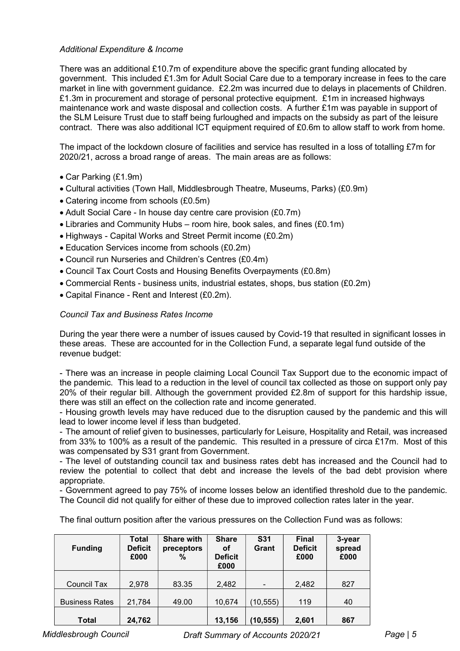## Additional Expenditure & Income

There was an additional £10.7m of expenditure above the specific grant funding allocated by government. This included £1.3m for Adult Social Care due to a temporary increase in fees to the care market in line with government guidance. £2.2m was incurred due to delays in placements of Children. £1.3m in procurement and storage of personal protective equipment. £1m in increased highways maintenance work and waste disposal and collection costs. A further £1m was payable in support of the SLM Leisure Trust due to staff being furloughed and impacts on the subsidy as part of the leisure contract. There was also additional ICT equipment required of £0.6m to allow staff to work from home.

The impact of the lockdown closure of facilities and service has resulted in a loss of totalling £7m for 2020/21, across a broad range of areas. The main areas are as follows:

- Car Parking (£1.9m)
- Cultural activities (Town Hall, Middlesbrough Theatre, Museums, Parks) (£0.9m)
- Catering income from schools (£0.5m)
- Adult Social Care In house day centre care provision (£0.7m)
- Libraries and Community Hubs room hire, book sales, and fines (£0.1m)
- Highways Capital Works and Street Permit income (£0.2m)
- Education Services income from schools (£0.2m)
- Council run Nurseries and Children's Centres (£0.4m)
- Council Tax Court Costs and Housing Benefits Overpayments (£0.8m)
- Commercial Rents business units, industrial estates, shops, bus station (£0.2m)
- Capital Finance Rent and Interest (£0.2m).

## Council Tax and Business Rates Income

During the year there were a number of issues caused by Covid-19 that resulted in significant losses in these areas. These are accounted for in the Collection Fund, a separate legal fund outside of the revenue budget:

- There was an increase in people claiming Local Council Tax Support due to the economic impact of the pandemic. This lead to a reduction in the level of council tax collected as those on support only pay 20% of their regular bill. Although the government provided £2.8m of support for this hardship issue, there was still an effect on the collection rate and income generated.

- Housing growth levels may have reduced due to the disruption caused by the pandemic and this will lead to lower income level if less than budgeted.

- The amount of relief given to businesses, particularly for Leisure, Hospitality and Retail, was increased from 33% to 100% as a result of the pandemic. This resulted in a pressure of circa £17m. Most of this was compensated by S31 grant from Government.

- The level of outstanding council tax and business rates debt has increased and the Council had to review the potential to collect that debt and increase the levels of the bad debt provision where appropriate.

- Government agreed to pay 75% of income losses below an identified threshold due to the pandemic. The Council did not qualify for either of these due to improved collection rates later in the year.

The final outturn position after the various pressures on the Collection Fund was as follows:

| <b>Funding</b>        | <b>Total</b><br><b>Deficit</b><br>£000 | <b>Share with</b><br>preceptors<br>$\%$ | <b>Share</b><br>οf<br><b>Deficit</b><br>£000 | <b>S31</b><br>Grant | <b>Final</b><br><b>Deficit</b><br>£000 | 3-year<br>spread<br>£000 |
|-----------------------|----------------------------------------|-----------------------------------------|----------------------------------------------|---------------------|----------------------------------------|--------------------------|
| <b>Council Tax</b>    | 2,978                                  | 83.35                                   | 2,482                                        | $\blacksquare$      | 2,482                                  | 827                      |
| <b>Business Rates</b> | 21,784                                 | 49.00                                   | 10,674                                       | (10, 555)           | 119                                    | 40                       |
| <b>Total</b>          | 24,762                                 |                                         | 13,156                                       | (10, 555)           | 2,601                                  | 867                      |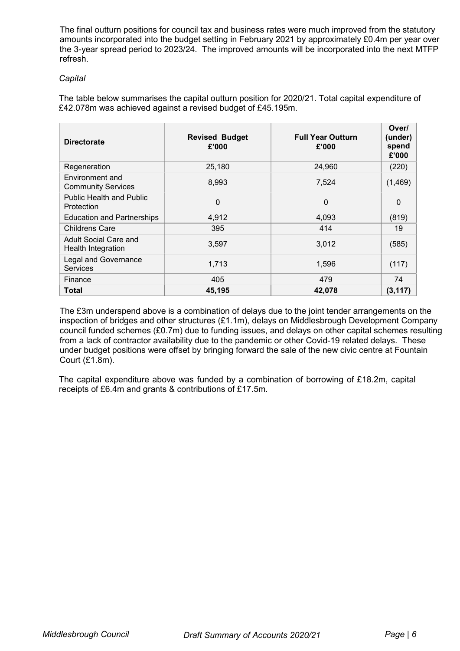The final outturn positions for council tax and business rates were much improved from the statutory amounts incorporated into the budget setting in February 2021 by approximately £0.4m per year over the 3-year spread period to 2023/24. The improved amounts will be incorporated into the next MTFP refresh.

## **Capital**

The table below summarises the capital outturn position for 2020/21. Total capital expenditure of £42.078m was achieved against a revised budget of £45.195m.

| <b>Directorate</b>                                 | <b>Revised Budget</b><br>£'000 | <b>Full Year Outturn</b><br>£'000 | Over/<br>(under)<br>spend<br>£'000 |
|----------------------------------------------------|--------------------------------|-----------------------------------|------------------------------------|
| Regeneration                                       | 25,180                         | 24,960                            | (220)                              |
| Environment and<br><b>Community Services</b>       | 8,993                          | 7,524                             | (1, 469)                           |
| <b>Public Health and Public</b><br>Protection      | $\Omega$                       | $\Omega$                          | 0                                  |
| <b>Education and Partnerships</b>                  | 4,912                          | 4,093                             | (819)                              |
| <b>Childrens Care</b>                              | 395                            | 414                               | 19                                 |
| Adult Social Care and<br><b>Health Integration</b> | 3,597                          | 3,012                             | (585)                              |
| <b>Legal and Governance</b><br><b>Services</b>     | 1,713                          | 1,596                             | (117)                              |
| Finance                                            | 405                            | 479                               | 74                                 |
| Total                                              | 45,195                         | 42,078                            | (3, 117)                           |

The £3m underspend above is a combination of delays due to the joint tender arrangements on the inspection of bridges and other structures (£1.1m), delays on Middlesbrough Development Company council funded schemes (£0.7m) due to funding issues, and delays on other capital schemes resulting from a lack of contractor availability due to the pandemic or other Covid-19 related delays. These under budget positions were offset by bringing forward the sale of the new civic centre at Fountain Court (£1.8m).

The capital expenditure above was funded by a combination of borrowing of £18.2m, capital receipts of £6.4m and grants & contributions of £17.5m.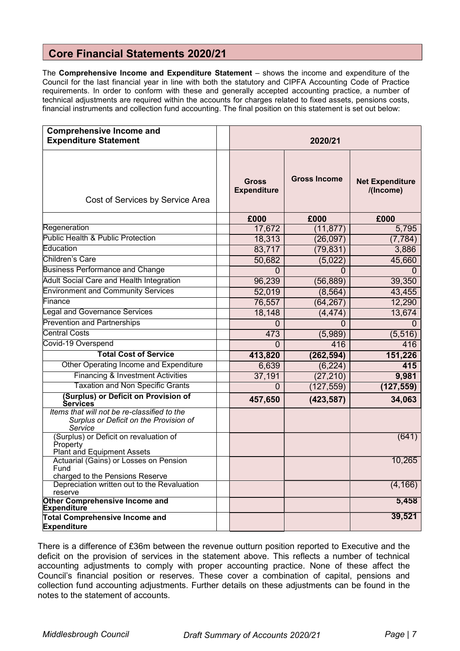# Core Financial Statements 2020/21

The Comprehensive Income and Expenditure Statement - shows the income and expenditure of the Council for the last financial year in line with both the statutory and CIPFA Accounting Code of Practice requirements. In order to conform with these and generally accepted accounting practice, a number of technical adjustments are required within the accounts for charges related to fixed assets, pensions costs, financial instruments and collection fund accounting. The final position on this statement is set out below:

| <b>Comprehensive Income and</b><br><b>Expenditure Statement</b>                                  | 2020/21                            |                     |                                     |  |
|--------------------------------------------------------------------------------------------------|------------------------------------|---------------------|-------------------------------------|--|
| Cost of Services by Service Area                                                                 | <b>Gross</b><br><b>Expenditure</b> | <b>Gross Income</b> | <b>Net Expenditure</b><br>/(Income) |  |
|                                                                                                  | £000                               | £000                | £000                                |  |
| Regeneration                                                                                     | 17,672                             | (11, 877)           | 5,795                               |  |
| Public Health & Public Protection                                                                | 18,313                             | (26, 097)           | (7, 784)                            |  |
| Education                                                                                        | 83,717                             | (79, 831)           | 3,886                               |  |
| Children's Care                                                                                  | 50,682                             | (5,022)             | 45,660                              |  |
| <b>Business Performance and Change</b>                                                           | 0                                  | 0                   |                                     |  |
| <b>Adult Social Care and Health Integration</b>                                                  | 96,239                             | (56, 889)           | 39,350                              |  |
| <b>Environment and Community Services</b>                                                        | 52,019                             | (8, 564)            | 43,455                              |  |
| Finance                                                                                          | 76,557                             | (64, 267)           | 12,290                              |  |
| <b>Legal and Governance Services</b>                                                             | 18,148                             | (4, 474)            | 13,674                              |  |
| <b>Prevention and Partnerships</b>                                                               | $\Omega$                           | $\Omega$            | $\Omega$                            |  |
| <b>Central Costs</b>                                                                             | 473                                | (5,989)             | (5, 516)                            |  |
| Covid-19 Overspend                                                                               | $\Omega$                           | 416                 | 416                                 |  |
| <b>Total Cost of Service</b>                                                                     | 413,820                            | (262, 594)          | 151,226                             |  |
| Other Operating Income and Expenditure                                                           | 6,639                              | (6, 224)            | 415                                 |  |
| <b>Financing &amp; Investment Activities</b>                                                     | 37,191                             | (27, 210)           | 9,981                               |  |
| <b>Taxation and Non Specific Grants</b>                                                          | 0                                  | (127, 559)          | (127, 559)                          |  |
| (Surplus) or Deficit on Provision of<br>Services                                                 | 457,650                            | (423, 587)          | 34,063                              |  |
| Items that will not be re-classified to the<br>Surplus or Deficit on the Provision of<br>Service |                                    |                     |                                     |  |
| (Surplus) or Deficit on revaluation of<br>Property<br>Plant and Equipment Assets                 |                                    |                     | (641)                               |  |
| Actuarial (Gains) or Losses on Pension<br>Fund<br>charged to the Pensions Reserve                |                                    |                     | 10,265                              |  |
| Depreciation written out to the Revaluation<br>reserve                                           |                                    |                     | (4, 166)                            |  |
| <b>Other Comprehensive Income and</b><br>Expenditure                                             |                                    |                     | 5,458                               |  |
| Total Comprehensive Income and<br><b>Expenditure</b>                                             |                                    |                     | 39,521                              |  |

There is a difference of £36m between the revenue outturn position reported to Executive and the deficit on the provision of services in the statement above. This reflects a number of technical accounting adjustments to comply with proper accounting practice. None of these affect the Council's financial position or reserves. These cover a combination of capital, pensions and collection fund accounting adjustments. Further details on these adjustments can be found in the notes to the statement of accounts.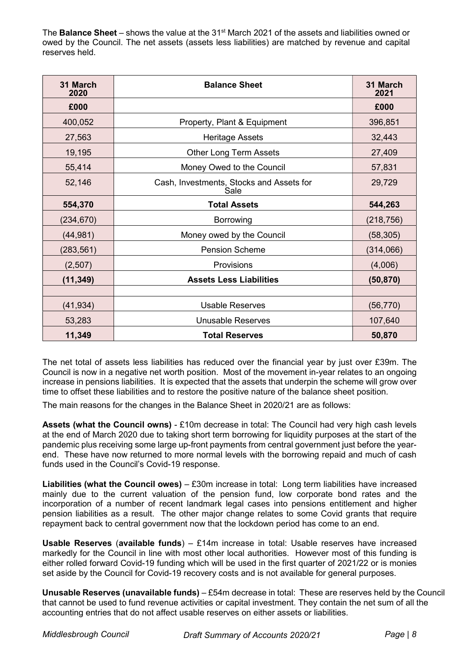The **Balance Sheet** – shows the value at the 31<sup>st</sup> March 2021 of the assets and liabilities owned or owed by the Council. The net assets (assets less liabilities) are matched by revenue and capital reserves held.

| 31 March<br>2020 | <b>Balance Sheet</b>                             | 31 March<br>2021 |
|------------------|--------------------------------------------------|------------------|
| £000             |                                                  | £000             |
| 400,052          | Property, Plant & Equipment                      | 396,851          |
| 27,563           | <b>Heritage Assets</b>                           | 32,443           |
| 19,195           | <b>Other Long Term Assets</b>                    | 27,409           |
| 55,414           | Money Owed to the Council                        | 57,831           |
| 52,146           | Cash, Investments, Stocks and Assets for<br>Sale | 29,729           |
| 554,370          | <b>Total Assets</b>                              | 544,263          |
| (234, 670)       | <b>Borrowing</b>                                 | (218, 756)       |
| (44, 981)        | Money owed by the Council                        | (58, 305)        |
| (283, 561)       | <b>Pension Scheme</b>                            | (314,066)        |
| (2,507)          | Provisions                                       | (4,006)          |
| (11, 349)        | <b>Assets Less Liabilities</b>                   | (50, 870)        |
|                  |                                                  |                  |
| (41, 934)        | <b>Usable Reserves</b>                           | (56, 770)        |
| 53,283           | <b>Unusable Reserves</b>                         | 107,640          |
| 11,349           | <b>Total Reserves</b>                            | 50,870           |

The net total of assets less liabilities has reduced over the financial year by just over £39m. The Council is now in a negative net worth position. Most of the movement in-year relates to an ongoing increase in pensions liabilities. It is expected that the assets that underpin the scheme will grow over time to offset these liabilities and to restore the positive nature of the balance sheet position.

The main reasons for the changes in the Balance Sheet in 2020/21 are as follows:

Assets (what the Council owns) - £10m decrease in total: The Council had very high cash levels at the end of March 2020 due to taking short term borrowing for liquidity purposes at the start of the pandemic plus receiving some large up-front payments from central government just before the yearend. These have now returned to more normal levels with the borrowing repaid and much of cash funds used in the Council's Covid-19 response.

Liabilities (what the Council owes)  $-$  £30m increase in total: Long term liabilities have increased mainly due to the current valuation of the pension fund, low corporate bond rates and the incorporation of a number of recent landmark legal cases into pensions entitlement and higher pension liabilities as a result. The other major change relates to some Covid grants that require repayment back to central government now that the lockdown period has come to an end.

**Usable Reserves (available funds)** – £14m increase in total: Usable reserves have increased markedly for the Council in line with most other local authorities. However most of this funding is either rolled forward Covid-19 funding which will be used in the first quarter of 2021/22 or is monies set aside by the Council for Covid-19 recovery costs and is not available for general purposes.

Unusable Reserves (unavailable funds) – £54m decrease in total: These are reserves held by the Council that cannot be used to fund revenue activities or capital investment. They contain the net sum of all the accounting entries that do not affect usable reserves on either assets or liabilities.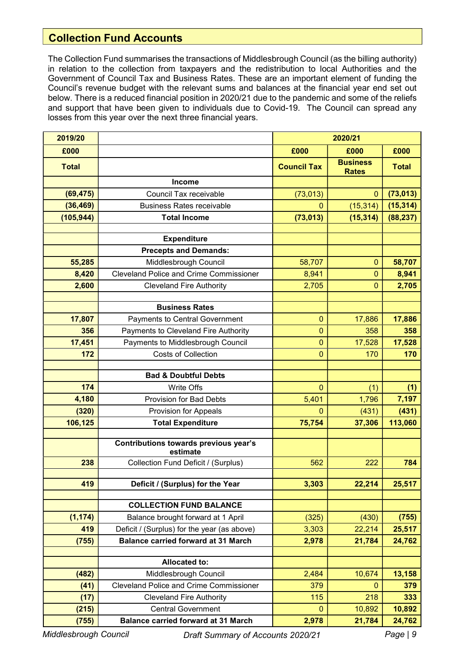# Collection Fund Accounts

The Collection Fund summarises the transactions of Middlesbrough Council (as the billing authority) in relation to the collection from taxpayers and the redistribution to local Authorities and the Government of Council Tax and Business Rates. These are an important element of funding the Council's revenue budget with the relevant sums and balances at the financial year end set out below. There is a reduced financial position in 2020/21 due to the pandemic and some of the reliefs and support that have been given to individuals due to Covid-19. The Council can spread any losses from this year over the next three financial years.

| 2019/20        |                                                              | 2020/21            |                                 |              |
|----------------|--------------------------------------------------------------|--------------------|---------------------------------|--------------|
| £000           |                                                              | £000               | £000                            | £000         |
| <b>Total</b>   |                                                              | <b>Council Tax</b> | <b>Business</b><br><b>Rates</b> | <b>Total</b> |
|                | <b>Income</b>                                                |                    |                                 |              |
| (69, 475)      | Council Tax receivable                                       | (73, 013)          | $\mathbf{0}$                    | (73, 013)    |
| (36, 469)      | <b>Business Rates receivable</b>                             | 0                  | (15, 314)                       | (15, 314)    |
| (105, 944)     | <b>Total Income</b>                                          | (73, 013)          | (15, 314)                       | (88, 237)    |
|                | <b>Expenditure</b>                                           |                    |                                 |              |
|                | <b>Precepts and Demands:</b>                                 |                    |                                 |              |
| 55,285         | Middlesbrough Council                                        | 58,707             | $\mathbf 0$                     | 58,707       |
| 8,420          | <b>Cleveland Police and Crime Commissioner</b>               | 8,941              | $\mathbf 0$                     | 8,941        |
| 2,600          | <b>Cleveland Fire Authority</b>                              | 2,705              | $\Omega$                        | 2,705        |
|                |                                                              |                    |                                 |              |
|                | <b>Business Rates</b>                                        |                    |                                 |              |
| 17,807         | Payments to Central Government                               | $\overline{0}$     | 17,886                          | 17,886       |
| 356            | Payments to Cleveland Fire Authority                         | $\mathbf 0$        | 358                             | 358          |
| 17,451         | Payments to Middlesbrough Council                            | $\overline{0}$     | 17,528                          | 17,528       |
| 172            | <b>Costs of Collection</b>                                   | $\mathbf 0$        | 170                             | 170          |
|                | <b>Bad &amp; Doubtful Debts</b>                              |                    |                                 |              |
| 174            | Write Offs                                                   | $\mathbf 0$        | (1)                             | (1)          |
| 4,180          | <b>Provision for Bad Debts</b>                               | 5,401              | 1,796                           | 7,197        |
| (320)          | Provision for Appeals                                        | $\overline{0}$     | (431)                           | (431)        |
| 106,125        | <b>Total Expenditure</b>                                     | 75,754             | 37,306                          | 113,060      |
|                |                                                              |                    |                                 |              |
|                | Contributions towards previous year's<br>estimate            |                    |                                 |              |
| 238            | Collection Fund Deficit / (Surplus)                          | 562                | 222                             | 784          |
| 419            | Deficit / (Surplus) for the Year                             |                    |                                 |              |
|                |                                                              | 3,303              | 22,214                          | 25,517       |
|                | <b>COLLECTION FUND BALANCE</b>                               |                    |                                 |              |
| (1, 174)       | Balance brought forward at 1 April                           | (325)              | (430)                           | (755)        |
| 419            | Deficit / (Surplus) for the year (as above)                  | 3,303              | 22,214                          | 25,517       |
| (755)          | <b>Balance carried forward at 31 March</b>                   | 2,978              | 21,784                          | 24,762       |
|                |                                                              |                    |                                 |              |
|                | <b>Allocated to:</b>                                         |                    |                                 |              |
| (482)          | Middlesbrough Council                                        | 2,484              | 10,674                          | 13,158       |
| (41)           | <b>Cleveland Police and Crime Commissioner</b>               | 379                | 0                               | 379          |
| (17)           | <b>Cleveland Fire Authority</b><br><b>Central Government</b> | 115<br>0           | 218                             | 333          |
| (215)<br>(755) |                                                              |                    | 10,892                          | 10,892       |

Middlesbrough Council **Draft Summary of Accounts 2020/21** Page | 9